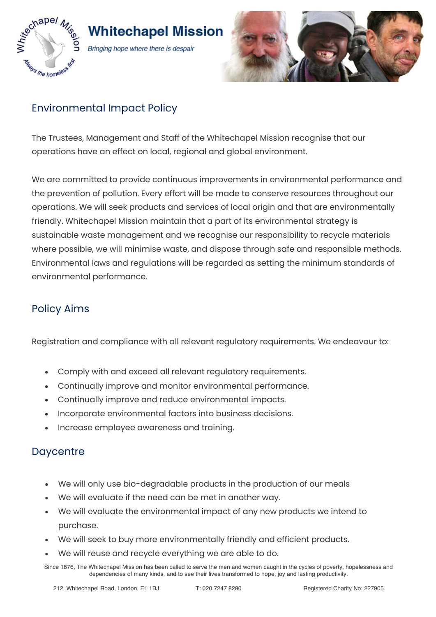

# **Whitechapel Mission**

Bringing hope where there is despair



# Environmental Impact Policy

The Trustees, Management and Staff of the Whitechapel Mission recognise that our operations have an effect on local, regional and global environment.

We are committed to provide continuous improvements in environmental performance and the prevention of pollution. Every effort will be made to conserve resources throughout our operations. We will seek products and services of local origin and that are environmentally friendly. Whitechapel Mission maintain that a part of its environmental strategy is sustainable waste management and we recognise our responsibility to recycle materials where possible, we will minimise waste, and dispose through safe and responsible methods. Environmental laws and regulations will be regarded as setting the minimum standards of environmental performance.

## Policy Aims

Registration and compliance with all relevant regulatory requirements. We endeavour to:

- Comply with and exceed all relevant regulatory requirements.
- Continually improve and monitor environmental performance.
- Continually improve and reduce environmental impacts.
- Incorporate environmental factors into business decisions.
- Increase employee awareness and training.

#### **Daycentre**

- We will only use bio-degradable products in the production of our meals
- We will evaluate if the need can be met in another way.
- We will evaluate the environmental impact of any new products we intend to purchase.
- We will seek to buy more environmentally friendly and efficient products.
- We will reuse and recycle everything we are able to do.

Since 1876, The Whitechapel Mission has been called to serve the men and women caught in the cycles of poverty, hopelessness and dependencies of many kinds, and to see their lives transformed to hope, joy and lasting productivity.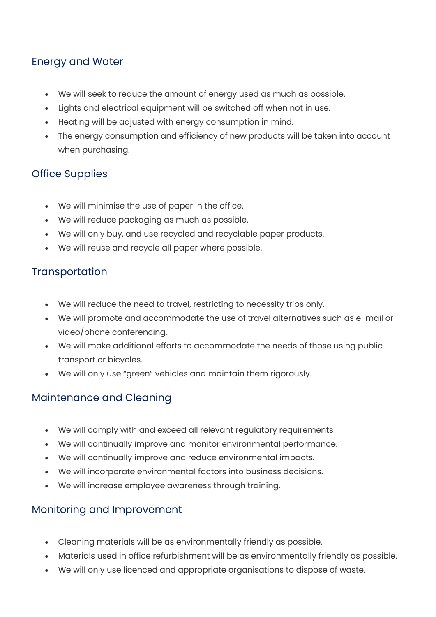## Energy and Water

- We will seek to reduce the amount of energy used as much as possible.
- Lights and electrical equipment will be switched off when not in use.
- Heating will be adjusted with energy consumption in mind.
- The energy consumption and efficiency of new products will be taken into account when purchasing.

## Office Supplies

- We will minimise the use of paper in the office.
- We will reduce packaging as much as possible.
- We will only buy, and use recycled and recyclable paper products.
- We will reuse and recycle all paper where possible.

## **Transportation**

- We will reduce the need to travel, restricting to necessity trips only.
- We will promote and accommodate the use of travel alternatives such as e-mail or video/phone conferencing.
- We will make additional efforts to accommodate the needs of those using public transport or bicycles.
- We will only use "green" vehicles and maintain them rigorously.

## Maintenance and Cleaning

- We will comply with and exceed all relevant regulatory requirements.
- We will continually improve and monitor environmental performance.
- We will continually improve and reduce environmental impacts.
- We will incorporate environmental factors into business decisions.
- We will increase employee awareness through training.

## Monitoring and Improvement

- Cleaning materials will be as environmentally friendly as possible.
- Materials used in office refurbishment will be as environmentally friendly as possible.
- We will only use licenced and appropriate organisations to dispose of waste.